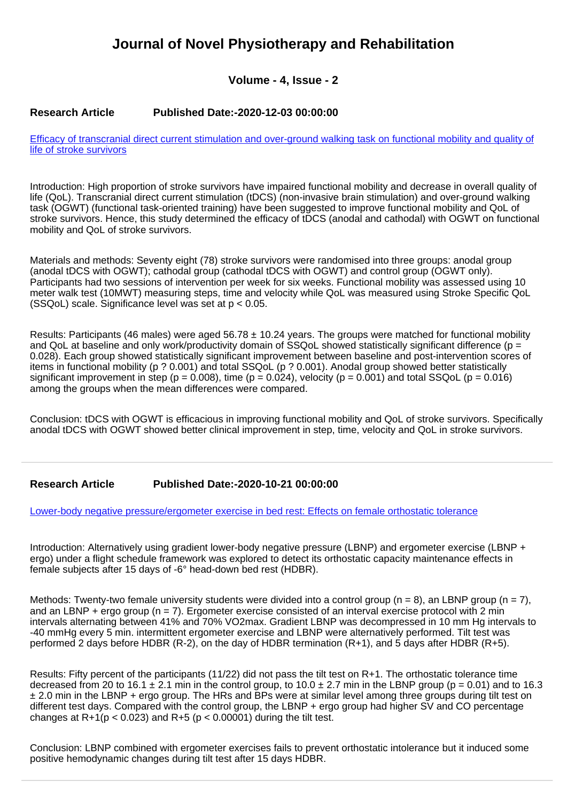# **Journal of Novel Physiotherapy and Rehabilitation**

**Volume - 4, Issue - 2**

#### **Research Article Published Date:-2020-12-03 00:00:00**

[Efficacy of transcranial direct current stimulation and over-ground walking task on functional mobility and quality of](https://www.rehabilityjournal.com/articles/jnpr-aid1037.pdf) [life of stroke survivors](https://www.rehabilityjournal.com/articles/jnpr-aid1037.pdf)

Introduction: High proportion of stroke survivors have impaired functional mobility and decrease in overall quality of life (QoL). Transcranial direct current stimulation (tDCS) (non-invasive brain stimulation) and over-ground walking task (OGWT) (functional task-oriented training) have been suggested to improve functional mobility and QoL of stroke survivors. Hence, this study determined the efficacy of tDCS (anodal and cathodal) with OGWT on functional mobility and QoL of stroke survivors.

Materials and methods: Seventy eight (78) stroke survivors were randomised into three groups: anodal group (anodal tDCS with OGWT); cathodal group (cathodal tDCS with OGWT) and control group (OGWT only). Participants had two sessions of intervention per week for six weeks. Functional mobility was assessed using 10 meter walk test (10MWT) measuring steps, time and velocity while QoL was measured using Stroke Specific QoL  $(SSQoL)$  scale. Significance level was set at  $p < 0.05$ .

Results: Participants (46 males) were aged 56.78  $\pm$  10.24 years. The groups were matched for functional mobility and QoL at baseline and only work/productivity domain of SSQoL showed statistically significant difference ( $p =$ 0.028). Each group showed statistically significant improvement between baseline and post-intervention scores of items in functional mobility (p ? 0.001) and total SSQoL (p ? 0.001). Anodal group showed better statistically significant improvement in step ( $p = 0.008$ ), time ( $p = 0.024$ ), velocity ( $p = 0.001$ ) and total SSQoL ( $p = 0.016$ ) among the groups when the mean differences were compared.

Conclusion: tDCS with OGWT is efficacious in improving functional mobility and QoL of stroke survivors. Specifically anodal tDCS with OGWT showed better clinical improvement in step, time, velocity and QoL in stroke survivors.

## **Research Article Published Date:-2020-10-21 00:00:00**

[Lower-body negative pressure/ergometer exercise in bed rest: Effects on female orthostatic tolerance](https://www.rehabilityjournal.com/articles/jnpr-aid1036.pdf)

Introduction: Alternatively using gradient lower-body negative pressure (LBNP) and ergometer exercise (LBNP + ergo) under a flight schedule framework was explored to detect its orthostatic capacity maintenance effects in female subjects after 15 days of -6° head-down bed rest (HDBR).

Methods: Twenty-two female university students were divided into a control group ( $n = 8$ ), an LBNP group ( $n = 7$ ), and an LBNP + ergo group (n = 7). Ergometer exercise consisted of an interval exercise protocol with 2 min intervals alternating between 41% and 70% VO2max. Gradient LBNP was decompressed in 10 mm Hg intervals to -40 mmHg every 5 min. intermittent ergometer exercise and LBNP were alternatively performed. Tilt test was performed 2 days before HDBR (R-2), on the day of HDBR termination (R+1), and 5 days after HDBR (R+5).

Results: Fifty percent of the participants (11/22) did not pass the tilt test on R+1. The orthostatic tolerance time decreased from 20 to 16.1  $\pm$  2.1 min in the control group, to 10.0  $\pm$  2.7 min in the LBNP group (p = 0.01) and to 16.3 ± 2.0 min in the LBNP + ergo group. The HRs and BPs were at similar level among three groups during tilt test on different test days. Compared with the control group, the LBNP + ergo group had higher SV and CO percentage changes at  $R+1(p < 0.023)$  and  $R+5$  (p < 0.00001) during the tilt test.

Conclusion: LBNP combined with ergometer exercises fails to prevent orthostatic intolerance but it induced some positive hemodynamic changes during tilt test after 15 days HDBR.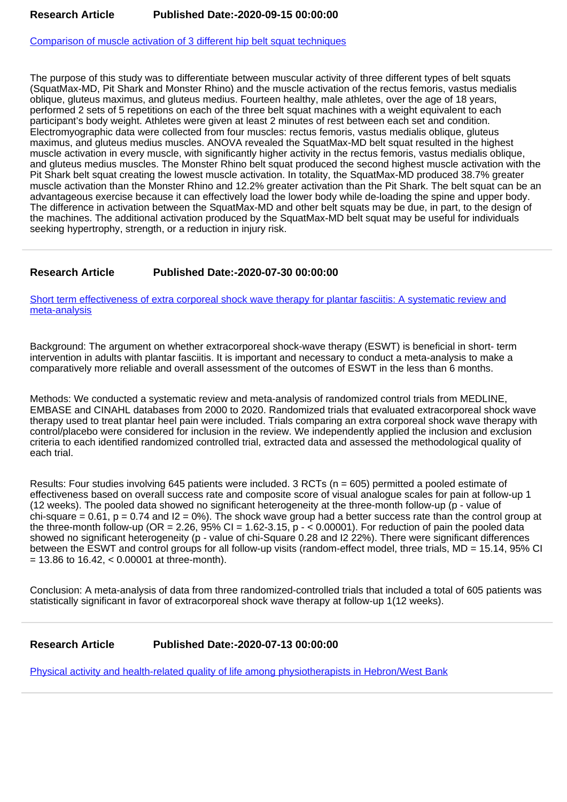[Comparison of muscle activation of 3 different hip belt squat techniques](https://www.rehabilityjournal.com/articles/jnpr-aid1035.pdf)

The purpose of this study was to differentiate between muscular activity of three different types of belt squats (SquatMax-MD, Pit Shark and Monster Rhino) and the muscle activation of the rectus femoris, vastus medialis oblique, gluteus maximus, and gluteus medius. Fourteen healthy, male athletes, over the age of 18 years, performed 2 sets of 5 repetitions on each of the three belt squat machines with a weight equivalent to each participant's body weight. Athletes were given at least 2 minutes of rest between each set and condition. Electromyographic data were collected from four muscles: rectus femoris, vastus medialis oblique, gluteus maximus, and gluteus medius muscles. ANOVA revealed the SquatMax-MD belt squat resulted in the highest muscle activation in every muscle, with significantly higher activity in the rectus femoris, vastus medialis oblique, and gluteus medius muscles. The Monster Rhino belt squat produced the second highest muscle activation with the Pit Shark belt squat creating the lowest muscle activation. In totality, the SquatMax-MD produced 38.7% greater muscle activation than the Monster Rhino and 12.2% greater activation than the Pit Shark. The belt squat can be an advantageous exercise because it can effectively load the lower body while de-loading the spine and upper body. The difference in activation between the SquatMax-MD and other belt squats may be due, in part, to the design of the machines. The additional activation produced by the SquatMax-MD belt squat may be useful for individuals seeking hypertrophy, strength, or a reduction in injury risk.

## **Research Article Published Date:-2020-07-30 00:00:00**

[Short term effectiveness of extra corporeal shock wave therapy for plantar fasciitis: A systematic review and](https://www.rehabilityjournal.com/articles/jnpr-aid1034.pdf) [meta-analysis](https://www.rehabilityjournal.com/articles/jnpr-aid1034.pdf)

Background: The argument on whether extracorporeal shock-wave therapy (ESWT) is beneficial in short- term intervention in adults with plantar fasciitis. It is important and necessary to conduct a meta-analysis to make a comparatively more reliable and overall assessment of the outcomes of ESWT in the less than 6 months.

Methods: We conducted a systematic review and meta-analysis of randomized control trials from MEDLINE, EMBASE and CINAHL databases from 2000 to 2020. Randomized trials that evaluated extracorporeal shock wave therapy used to treat plantar heel pain were included. Trials comparing an extra corporeal shock wave therapy with control/placebo were considered for inclusion in the review. We independently applied the inclusion and exclusion criteria to each identified randomized controlled trial, extracted data and assessed the methodological quality of each trial.

Results: Four studies involving 645 patients were included. 3 RCTs (n = 605) permitted a pooled estimate of effectiveness based on overall success rate and composite score of visual analogue scales for pain at follow-up 1 (12 weeks). The pooled data showed no significant heterogeneity at the three-month follow-up (p - value of chi-square = 0.61,  $p = 0.74$  and  $12 = 0\%$ ). The shock wave group had a better success rate than the control group at the three-month follow-up (OR = 2.26, 95% CI = 1.62-3.15,  $p - 0.00001$ ). For reduction of pain the pooled data showed no significant heterogeneity (p - value of chi-Square 0.28 and I2 22%). There were significant differences between the ESWT and control groups for all follow-up visits (random-effect model, three trials, MD = 15.14, 95% CI  $= 13.86$  to 16.42,  $< 0.00001$  at three-month).

Conclusion: A meta-analysis of data from three randomized-controlled trials that included a total of 605 patients was statistically significant in favor of extracorporeal shock wave therapy at follow-up 1(12 weeks).

## **Research Article Published Date:-2020-07-13 00:00:00**

[Physical activity and health-related quality of life among physiotherapists in Hebron/West Bank](https://www.rehabilityjournal.com/articles/jnpr-aid1033.pdf)